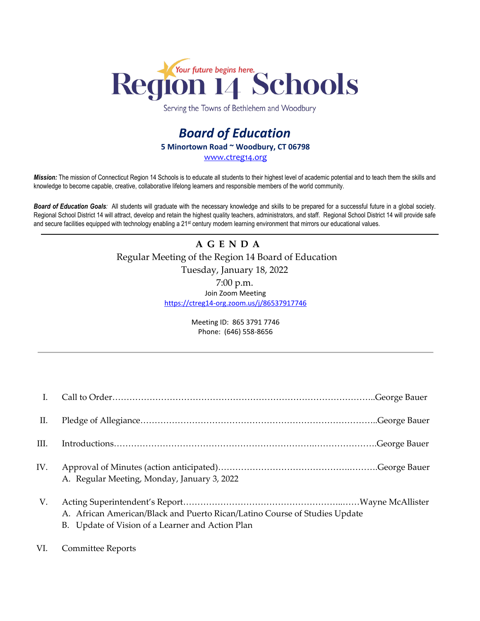

Serving the Towns of Bethlehem and Woodbury

# *Board of Education* **5 Minortown Road ~ Woodbury, CT 06798** [www.ctreg14.org](http://www.ctreg14.org/)

*Mission:* The mission of Connecticut Region 14 Schools is to educate all students to their highest level of academic potential and to teach them the skills and knowledge to become capable, creative, collaborative lifelong learners and responsible members of the world community.

*Board of Education Goals:* All students will graduate with the necessary knowledge and skills to be prepared for a successful future in a global society. Regional School District 14 will attract, develop and retain the highest quality teachers, administrators, and staff. Regional School District 14 will provide safe and secure facilities equipped with technology enabling a 21<sup>st</sup> century modern learning environment that mirrors our educational values.

## **A G E N D A** Regular Meeting of the Region 14 Board of Education Tuesday, January 18, 2022 7:00 p.m. Join Zoom Meeting <https://ctreg14-org.zoom.us/j/86537917746>

Meeting ID: 865 3791 7746 Phone: (646) 558-8656

| П.   |                                                                                                                                |
|------|--------------------------------------------------------------------------------------------------------------------------------|
| III. |                                                                                                                                |
| IV.  | A. Regular Meeting, Monday, January 3, 2022                                                                                    |
| V.   | A. African American/Black and Puerto Rican/Latino Course of Studies Update<br>B. Update of Vision of a Learner and Action Plan |

#### VI. Committee Reports